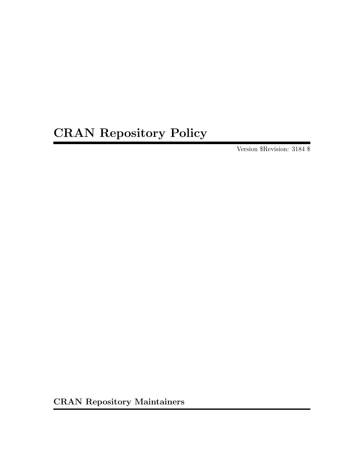# CRAN Repository Policy

Version \$Revision: 3184 \$

CRAN Repository Maintainers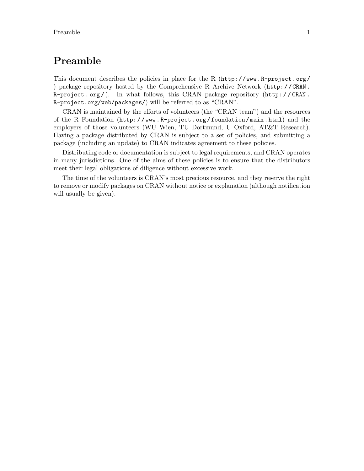## Preamble

This document describes the policies in place for the R  $(\text{http://www.R-project.org/}$  $(\text{http://www.R-project.org/}$  $(\text{http://www.R-project.org/}$ [\)](http://www.R-project.org/) package repository hosted by the [Comprehensive R Archive Network \(](http://CRAN.R-project.org/)http: / / CRAN . [R-project . org /](http://CRAN.R-project.org/) ). In what follows, this [CRAN package repository \(](http://CRAN.R-project.org/web/packages/)http: / / CRAN . [R-project.org/web/packages/](http://CRAN.R-project.org/web/packages/)) will be referred to as "CRAN".

CRAN is maintained by the efforts of volunteers (the "CRAN team") and the resources of the R Foundation ([http: / / www . R-project . org / foundation / main . html](http://www.R-project.org/foundation/main.html)) and the employers of those volunteers (WU Wien, TU Dortmund, U Oxford, AT&T Research). Having a package distributed by CRAN is subject to a set of policies, and submitting a package (including an update) to CRAN indicates agreement to these policies.

Distributing code or documentation is subject to legal requirements, and CRAN operates in many jurisdictions. One of the aims of these policies is to ensure that the distributors meet their legal obligations of diligence without excessive work.

The time of the volunteers is CRAN's most precious resource, and they reserve the right to remove or modify packages on CRAN without notice or explanation (although notification will usually be given).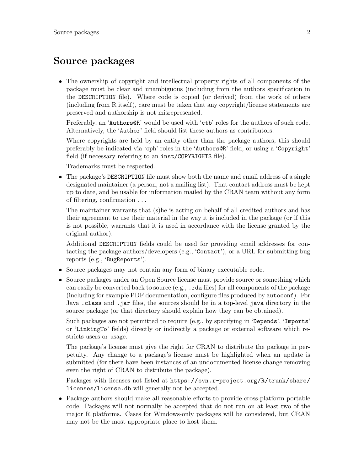## Source packages

• The ownership of copyright and intellectual property rights of all components of the package must be clear and unambiguous (including from the authors specification in the DESCRIPTION file). Where code is copied (or derived) from the work of others (including from R itself), care must be taken that any copyright/license statements are preserved and authorship is not misrepresented.

Preferably, an 'Authors@R' would be used with 'ctb' roles for the authors of such code. Alternatively, the 'Author' field should list these authors as contributors.

Where copyrights are held by an entity other than the package authors, this should preferably be indicated via 'cph' roles in the 'Authors@R' field, or using a 'Copyright' field (if necessary referring to an inst/COPYRIGHTS file).

Trademarks must be respected.

• The package's DESCRIPTION file must show both the name and email address of a single designated maintainer (a person, not a mailing list). That contact address must be kept up to date, and be usable for information mailed by the CRAN team without any form of filtering, confirmation . . .

The maintainer warrants that (s)he is acting on behalf of all credited authors and has their agreement to use their material in the way it is included in the package (or if this is not possible, warrants that it is used in accordance with the license granted by the original author).

Additional DESCRIPTION fields could be used for providing email addresses for contacting the package authors/developers (e.g., 'Contact'), or a URL for submitting bug reports (e.g., 'BugReports').

- Source packages may not contain any form of binary executable code.
- Source packages under an Open Source license must provide source or something which can easily be converted back to source (e.g., .rda files) for all components of the package (including for example PDF documentation, configure files produced by autoconf). For Java .class and .jar files, the sources should be in a top-level java directory in the source package (or that directory should explain how they can be obtained).

Such packages are not permitted to require (e.g., by specifying in 'Depends', 'Imports' or 'LinkingTo' fields) directly or indirectly a package or external software which restricts users or usage.

The package's license must give the right for CRAN to distribute the package in perpetuity. Any change to a package's license must be highlighted when an update is submitted (for there have been instances of an undocumented license change removing even the right of CRAN to distribute the package).

Packages with licenses not listed at [https://svn.r-project.org/R/trunk/share/](https://svn.r-project.org/R/trunk/share/licenses/license.db) [licenses/license.db](https://svn.r-project.org/R/trunk/share/licenses/license.db) will generally not be accepted.

• Package authors should make all reasonable efforts to provide cross-platform portable code. Packages will not normally be accepted that do not run on at least two of the major R platforms. Cases for Windows-only packages will be considered, but CRAN may not be the most appropriate place to host them.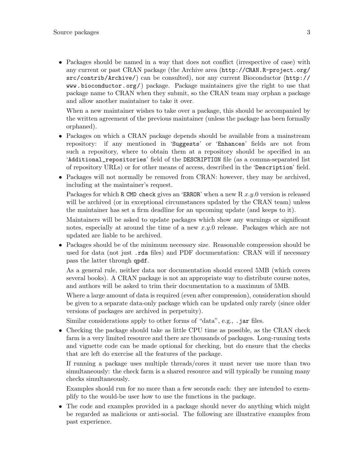• Packages should be named in a way that does not conflict (irrespective of case) with any current or past CRAN package (the Archive area ([http://CRAN.R-project.org/](http://CRAN.R-project.org/src/contrib/Archive/) [src/contrib/Archive/](http://CRAN.R-project.org/src/contrib/Archive/)) can be consulted), nor any current [Bioconductor \(](http://www.bioconductor.org/)http:// [www.bioconductor.org/](http://www.bioconductor.org/)) package. Package maintainers give the right to use that package name to CRAN when they submit, so the CRAN team may orphan a package and allow another maintainer to take it over.

When a new maintainer wishes to take over a package, this should be accompanied by the written agreement of the previous maintainer (unless the package has been formally orphaned).

- Packages on which a CRAN package depends should be available from a mainstream repository: if any mentioned in 'Suggests' or 'Enhances' fields are not from such a repository, where to obtain them at a repository should be specified in an 'Additional\_repositories' field of the DESCRIPTION file (as a comma-separated list of repository URLs) or for other means of access, described in the 'Description' field.
- Packages will not normally be removed from CRAN: however, they may be archived, including at the maintainer's request.

Packages for which R CMD check gives an 'ERROR' when a new  $R x.y.0$  version is released will be archived (or in exceptional circumstances updated by the CRAN team) unless the maintainer has set a firm deadline for an upcoming update (and keeps to it).

Maintainers will be asked to update packages which show any warnings or significant notes, especially at around the time of a new  $x.y.0$  release. Packages which are not updated are liable to be archived.

• Packages should be of the minimum necessary size. Reasonable compression should be used for data (not just .rda files) and PDF documentation: CRAN will if necessary pass the latter through qpdf.

As a general rule, neither data nor documentation should exceed 5MB (which covers several books). A CRAN package is not an appropriate way to distribute course notes, and authors will be asked to trim their documentation to a maximum of 5MB.

Where a large amount of data is required (even after compression), consideration should be given to a separate data-only package which can be updated only rarely (since older versions of packages are archived in perpetuity).

Similar considerations apply to other forms of "data", e.g., .jar files.

• Checking the package should take as little CPU time as possible, as the CRAN check farm is a very limited resource and there are thousands of packages. Long-running tests and vignette code can be made optional for checking, but do ensure that the checks that are left do exercise all the features of the package.

If running a package uses multiple threads/cores it must never use more than two simultaneously: the check farm is a shared resource and will typically be running many checks simultaneously.

Examples should run for no more than a few seconds each: they are intended to exemplify to the would-be user how to use the functions in the package.

• The code and examples provided in a package should never do anything which might be regarded as malicious or anti-social. The following are illustrative examples from past experience.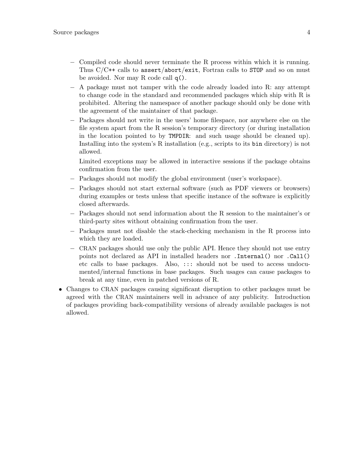- − Compiled code should never terminate the R process within which it is running. Thus C/C++ calls to assert/abort/exit, Fortran calls to STOP and so on must be avoided. Nor may R code call q().
- − A package must not tamper with the code already loaded into R: any attempt to change code in the standard and recommended packages which ship with R is prohibited. Altering the namespace of another package should only be done with the agreement of the maintainer of that package.
- − Packages should not write in the users' home filespace, nor anywhere else on the file system apart from the R session's temporary directory (or during installation in the location pointed to by TMPDIR: and such usage should be cleaned up). Installing into the system's R installation (e.g., scripts to its bin directory) is not allowed.

Limited exceptions may be allowed in interactive sessions if the package obtains confirmation from the user.

- − Packages should not modify the global environment (user's workspace).
- − Packages should not start external software (such as PDF viewers or browsers) during examples or tests unless that specific instance of the software is explicitly closed afterwards.
- − Packages should not send information about the R session to the maintainer's or third-party sites without obtaining confirmation from the user.
- − Packages must not disable the stack-checking mechanism in the R process into which they are loaded.
- − CRAN packages should use only the public API. Hence they should not use entry points not declared as API in installed headers nor .Internal() nor .Call() etc calls to base packages. Also, ::: should not be used to access undocumented/internal functions in base packages. Such usages can cause packages to break at any time, even in patched versions of R.
- Changes to CRAN packages causing significant disruption to other packages must be agreed with the CRAN maintainers well in advance of any publicity. Introduction of packages providing back-compatibility versions of already available packages is not allowed.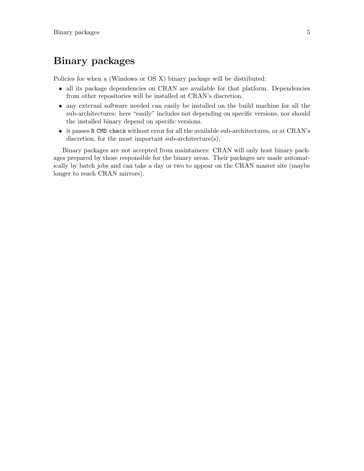# Binary packages

Policies for when a (Windows or OS X) binary package will be distributed:

- all its package dependencies on CRAN are available for that platform. Dependencies from other repositories will be installed at CRAN's discretion.
- any external software needed can easily be installed on the build machine for all the sub-architectures: here "easily" includes not depending on specific versions, nor should the installed binary depend on specific versions.
- it passes R CMD check without error for all the available sub-architectures, or at CRAN's discretion, for the most important sub-architecture(s).

Binary packages are not accepted from maintainers: CRAN will only host binary packages prepared by those responsible for the binary areas. Their packages are made automatically by batch jobs and can take a day or two to appear on the CRAN master site (maybe longer to reach CRAN mirrors).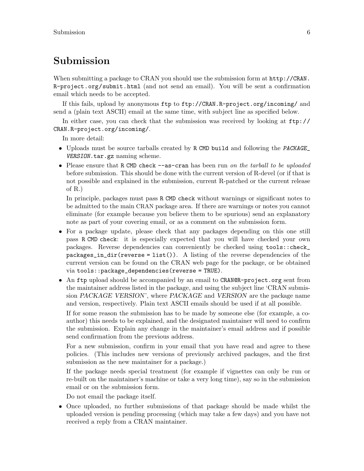### Submission

When submitting a package to CRAN you should use the submission form at [http://CRAN.](http://CRAN.R-project.org/submit.html) [R-project.org/submit.html](http://CRAN.R-project.org/submit.html) (and not send an email). You will be sent a confirmation email which needs to be accepted.

If this fails, upload by anonymous ftp to <ftp://CRAN.R-project.org/incoming/> and send a (plain text ASCII) email at the same time, with subject line as specified below.

In either case, you can check that the submission was received by looking at [ftp://](ftp://CRAN.R-project.org/incoming/) [CRAN.R-project.org/incoming/](ftp://CRAN.R-project.org/incoming/).

In more detail:

- Uploads must be source tarballs created by R CMD build and following the PACKAGE\_ VERSION.tar.gz naming scheme.
- Please ensure that R CMD check --as-cran has been run on the tarball to be uploaded before submission. This should be done with the current version of R-devel (or if that is not possible and explained in the submission, current R-patched or the current release of R.)

In principle, packages must pass R CMD check without warnings or significant notes to be admitted to the main CRAN package area. If there are warnings or notes you cannot eliminate (for example because you believe them to be spurious) send an explanatory note as part of your covering email, or as a comment on the submission form.

- For a package update, please check that any packages depending on this one still pass R CMD check: it is especially expected that you will have checked your own packages. Reverse dependencies can conveniently be checked using tools::check\_ packages\_in\_dir(reverse = list()). A listing of the reverse dependencies of the current version can be found on the CRAN web page for the package, or be obtained via tools::package\_dependencies(reverse = TRUE).
- An ftp upload should be accompanied by an email to CRANOR-project.org sent from the maintainer address listed in the package, and using the subject line 'CRAN submission PACKAGE VERSION', where PACKAGE and VERSION are the package name and version, respectively. Plain text ASCII emails should be used if at all possible.

If for some reason the submission has to be made by someone else (for example, a coauthor) this needs to be explained, and the designated maintainer will need to confirm the submission. Explain any change in the maintainer's email address and if possible send confirmation from the previous address.

For a new submission, confirm in your email that you have read and agree to these policies. (This includes new versions of previously archived packages, and the first submission as the new maintainer for a package.)

If the package needs special treatment (for example if vignettes can only be run or re-built on the maintainer's machine or take a very long time), say so in the submission email or on the submission form.

Do not email the package itself.

• Once uploaded, no further submissions of that package should be made whilst the uploaded version is pending processing (which may take a few days) and you have not received a reply from a CRAN maintainer.